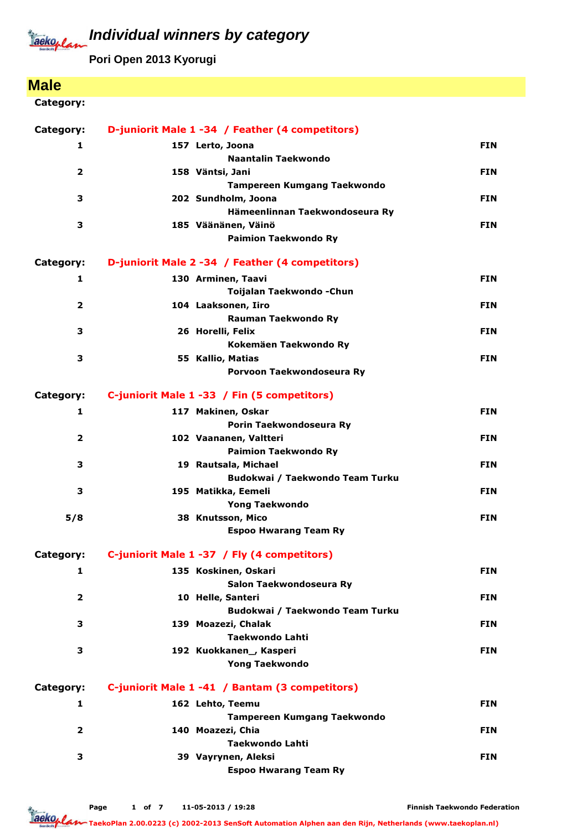**Pori Open 2013 Kyorugi**

# **Male**

### Category:

| Category:               | D-juniorit Male 1 -34 / Feather (4 competitors)        |            |
|-------------------------|--------------------------------------------------------|------------|
| 1                       | 157 Lerto, Joona                                       | <b>FIN</b> |
|                         | Naantalin Taekwondo                                    |            |
| $\overline{\mathbf{2}}$ | 158 Väntsi, Jani                                       | <b>FIN</b> |
|                         | Tampereen Kumgang Taekwondo                            |            |
| 3                       | 202 Sundholm, Joona                                    | <b>FIN</b> |
|                         | Hämeenlinnan Taekwondoseura Ry                         |            |
| 3                       | 185 Väänänen, Väinö                                    | <b>FIN</b> |
|                         | <b>Paimion Taekwondo Ry</b>                            |            |
| Category:               | D-juniorit Male 2 -34 / Feather (4 competitors)        |            |
| 1                       | 130 Arminen, Taavi                                     | <b>FIN</b> |
|                         | Toijalan Taekwondo - Chun                              |            |
| $\overline{2}$          | 104 Laaksonen, Iiro                                    | <b>FIN</b> |
|                         | Rauman Taekwondo Ry                                    |            |
| 3                       | 26 Horelli, Felix                                      | <b>FIN</b> |
|                         | Kokemäen Taekwondo Ry                                  |            |
| З                       | 55 Kallio, Matias<br>Porvoon Taekwondoseura Ry         | <b>FIN</b> |
|                         |                                                        |            |
| Category:               | C-juniorit Male 1 -33 / Fin (5 competitors)            |            |
| 1                       | 117 Makinen, Oskar                                     | <b>FIN</b> |
|                         | Porin Taekwondoseura Ry                                |            |
| $\overline{\mathbf{2}}$ | 102 Vaananen, Valtteri                                 | <b>FIN</b> |
|                         | <b>Paimion Taekwondo Ry</b>                            |            |
| З                       | 19 Rautsala, Michael                                   | <b>FIN</b> |
| 3                       | Budokwai / Taekwondo Team Turku<br>195 Matikka, Eemeli | <b>FIN</b> |
|                         | <b>Yong Taekwondo</b>                                  |            |
| 5/8                     | 38 Knutsson, Mico                                      | <b>FIN</b> |
|                         | <b>Espoo Hwarang Team Ry</b>                           |            |
|                         |                                                        |            |
| Category:               | C-juniorit Male 1 -37 / Fly (4 competitors)            |            |
| 1                       | 135 Koskinen, Oskari                                   | <b>FIN</b> |
|                         | Salon Taekwondoseura Ry                                |            |
| 2                       | 10 Helle, Santeri<br>Budokwai / Taekwondo Team Turku   | <b>FIN</b> |
| З                       | 139 Moazezi, Chalak                                    | <b>FIN</b> |
|                         | Taekwondo Lahti                                        |            |
| З                       | 192 Kuokkanen_, Kasperi                                | <b>FIN</b> |
|                         | <b>Yong Taekwondo</b>                                  |            |
| Category:               | C-juniorit Male 1 -41 / Bantam (3 competitors)         |            |
| 1                       | 162 Lehto, Teemu                                       | <b>FIN</b> |
|                         | <b>Tampereen Kumgang Taekwondo</b>                     |            |
| $\overline{\mathbf{2}}$ | 140 Moazezi, Chia                                      | <b>FIN</b> |
|                         | <b>Taekwondo Lahti</b>                                 |            |
| З                       | 39 Vayrynen, Aleksi                                    | <b>FIN</b> |
|                         | <b>Espoo Hwarang Team Ry</b>                           |            |
|                         |                                                        |            |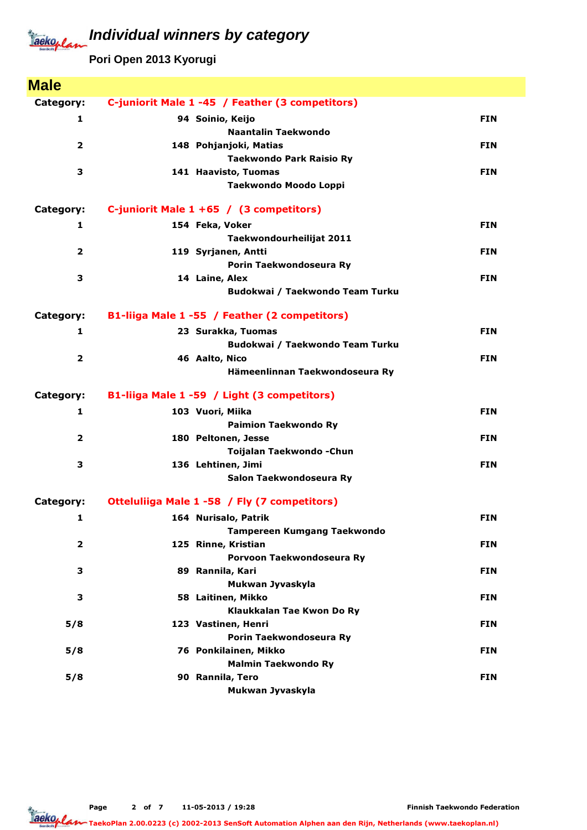# Jackeplan

# **Individual winners by category**

**Pori Open 2013 Kyorugi**

| <b>Male</b>             |                                                 |            |
|-------------------------|-------------------------------------------------|------------|
| Category:               | C-juniorit Male 1 -45 / Feather (3 competitors) |            |
| 1                       | 94 Soinio, Keijo                                | <b>FIN</b> |
|                         | <b>Naantalin Taekwondo</b>                      |            |
| 2                       | 148 Pohjanjoki, Matias                          | <b>FIN</b> |
|                         | <b>Taekwondo Park Raisio Ry</b>                 |            |
| 3                       | 141 Haavisto, Tuomas                            | <b>FIN</b> |
|                         | Taekwondo Moodo Loppi                           |            |
| Category:               | C-juniorit Male $1 + 65$ / (3 competitors)      |            |
| 1                       | 154 Feka, Voker                                 | <b>FIN</b> |
|                         | Taekwondourheilijat 2011                        |            |
| 2                       | 119 Syrjanen, Antti                             | <b>FIN</b> |
|                         | Porin Taekwondoseura Ry                         |            |
| 3                       | 14 Laine, Alex                                  | <b>FIN</b> |
|                         | Budokwai / Taekwondo Team Turku                 |            |
| Category:               | B1-liiga Male 1 -55 / Feather (2 competitors)   |            |
| 1                       | 23 Surakka, Tuomas                              | <b>FIN</b> |
|                         | Budokwai / Taekwondo Team Turku                 |            |
| $\overline{2}$          | 46 Aalto, Nico                                  | <b>FIN</b> |
|                         | Hämeenlinnan Taekwondoseura Ry                  |            |
| Category:               | B1-liiga Male 1 -59 / Light (3 competitors)     |            |
| 1                       | 103 Vuori, Miika                                | <b>FIN</b> |
|                         | <b>Paimion Taekwondo Ry</b>                     |            |
| $\overline{\mathbf{2}}$ | 180 Peltonen, Jesse                             | <b>FIN</b> |
|                         | Toijalan Taekwondo - Chun                       |            |
| 3                       | 136 Lehtinen, Jimi                              | <b>FIN</b> |
|                         | Salon Taekwondoseura Ry                         |            |
| Category:               | Otteluliiga Male 1 -58 / Fly (7 competitors)    |            |
| 1                       | 164 Nurisalo, Patrik                            | <b>FIN</b> |
|                         | <b>Tampereen Kumgang Taekwondo</b>              |            |
| $\overline{\mathbf{2}}$ | 125 Rinne, Kristian                             | <b>FIN</b> |
|                         | Porvoon Taekwondoseura Ry                       |            |
| з                       | 89 Rannila, Kari<br>Mukwan Jyvaskyla            | <b>FIN</b> |
| 3                       | 58 Laitinen, Mikko                              | <b>FIN</b> |
|                         | Klaukkalan Tae Kwon Do Ry                       |            |
| 5/8                     | 123 Vastinen, Henri                             | <b>FIN</b> |
|                         | Porin Taekwondoseura Ry                         |            |
| 5/8                     | 76 Ponkilainen, Mikko                           | <b>FIN</b> |
|                         | <b>Malmin Taekwondo Ry</b>                      |            |
| 5/8                     | 90 Rannila, Tero                                | <b>FIN</b> |
|                         | Mukwan Jyvaskyla                                |            |

Taekoplan TaekoPlan 2.00.0223 (c) 2002-2013 SenSoft Automation Alphen aan den Rijn, Netherlands (www.taekoplan.nl)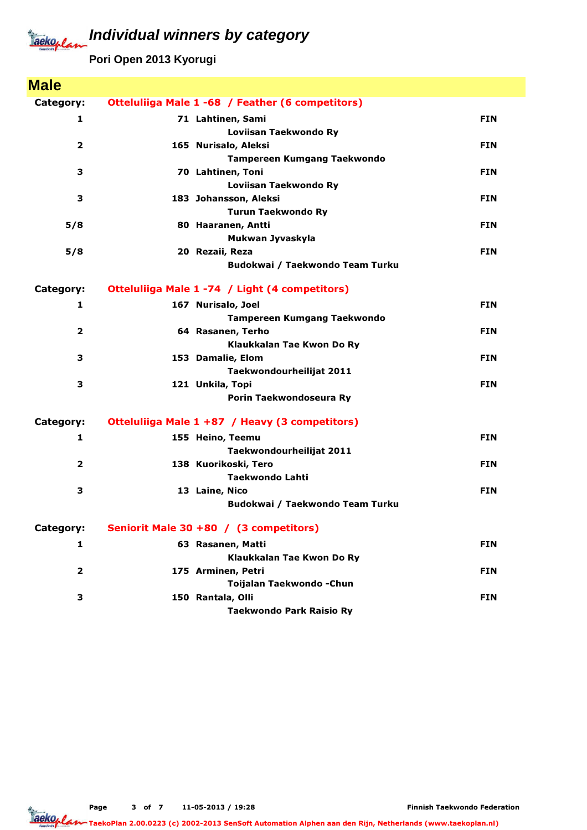**Pori Open 2013 Kyorugi**

| <b>Male</b>    |                                                    |            |
|----------------|----------------------------------------------------|------------|
| Category:      | Otteluliiga Male 1 -68 / Feather (6 competitors)   |            |
| 1              | 71 Lahtinen, Sami                                  | <b>FIN</b> |
|                | Loviisan Taekwondo Ry                              |            |
| $\overline{2}$ | 165 Nurisalo, Aleksi                               | <b>FIN</b> |
|                | <b>Tampereen Kumgang Taekwondo</b>                 |            |
| 3              | 70 Lahtinen, Toni                                  | <b>FIN</b> |
|                | Loviisan Taekwondo Ry                              |            |
| 3              | 183 Johansson, Aleksi                              | <b>FIN</b> |
|                | <b>Turun Taekwondo Ry</b>                          |            |
| 5/8            | 80 Haaranen, Antti                                 | <b>FIN</b> |
| 5/8            | Mukwan Jyvaskyla                                   | <b>FIN</b> |
|                | 20 Rezaii, Reza<br>Budokwai / Taekwondo Team Turku |            |
|                |                                                    |            |
| Category:      | Otteluliiga Male 1 -74 / Light (4 competitors)     |            |
| $\mathbf{1}$   | 167 Nurisalo, Joel                                 | <b>FIN</b> |
|                | Tampereen Kumgang Taekwondo                        |            |
| $\overline{2}$ | 64 Rasanen, Terho                                  | <b>FIN</b> |
|                | Klaukkalan Tae Kwon Do Ry                          |            |
| 3              | 153 Damalie, Elom                                  | <b>FIN</b> |
|                | Taekwondourheilijat 2011                           |            |
| 3              | 121 Unkila, Topi                                   | <b>FIN</b> |
|                | Porin Taekwondoseura Ry                            |            |
| Category:      | Otteluliiga Male 1 +87 / Heavy (3 competitors)     |            |
| 1              | 155 Heino, Teemu                                   | <b>FIN</b> |
|                | Taekwondourheilijat 2011                           |            |
| $\overline{2}$ | 138 Kuorikoski, Tero                               | <b>FIN</b> |
|                | Taekwondo Lahti                                    |            |
| 3              | 13 Laine, Nico                                     | <b>FIN</b> |
|                | Budokwai / Taekwondo Team Turku                    |            |
| Category:      | Seniorit Male 30 +80 / (3 competitors)             |            |
| $\mathbf{1}$   | 63 Rasanen, Matti                                  | <b>FIN</b> |
|                | Klaukkalan Tae Kwon Do Ry                          |            |
| $\overline{2}$ | 175 Arminen, Petri                                 | <b>FIN</b> |
|                | Toijalan Taekwondo - Chun                          |            |
| 3              | 150 Rantala, Olli                                  | <b>FIN</b> |
|                | <b>Taekwondo Park Raisio Ry</b>                    |            |

Page 3 of 7 11-05-2013 / 19:28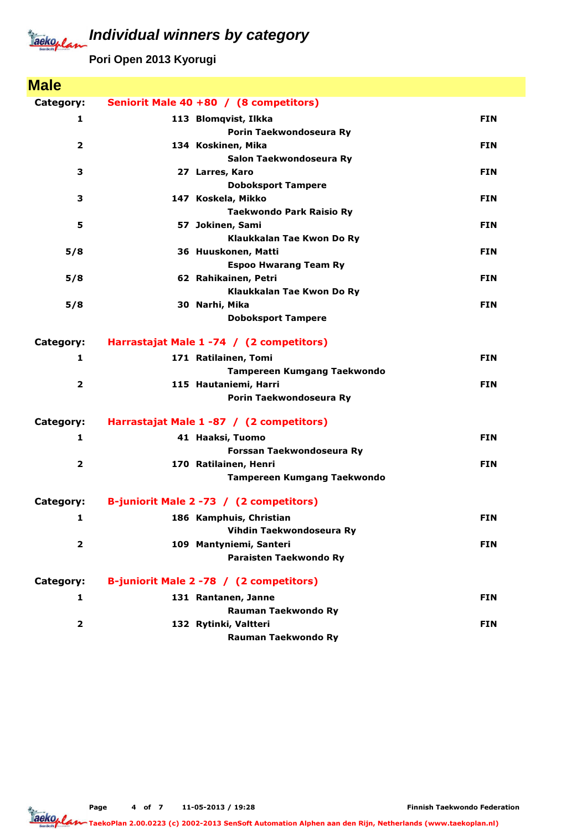**Pori Open 2013 Kyorugi**

| <b>Male</b>             |                                             |            |
|-------------------------|---------------------------------------------|------------|
| Category:               | Seniorit Male 40 +80 / (8 competitors)      |            |
| 1                       | 113 Blomqvist, Ilkka                        | <b>FIN</b> |
|                         | Porin Taekwondoseura Ry                     |            |
| $\overline{2}$          | 134 Koskinen, Mika                          | <b>FIN</b> |
|                         | Salon Taekwondoseura Ry                     |            |
| 3                       | 27 Larres, Karo                             | <b>FIN</b> |
|                         | <b>Doboksport Tampere</b>                   |            |
| 3                       | 147 Koskela, Mikko                          | <b>FIN</b> |
|                         | <b>Taekwondo Park Raisio Ry</b>             |            |
| 5                       | 57 Jokinen, Sami                            | <b>FIN</b> |
|                         | Klaukkalan Tae Kwon Do Ry                   |            |
| 5/8                     | 36 Huuskonen, Matti                         | <b>FIN</b> |
|                         | <b>Espoo Hwarang Team Ry</b>                |            |
| 5/8                     | 62 Rahikainen, Petri                        | <b>FIN</b> |
| 5/8                     | Klaukkalan Tae Kwon Do Ry<br>30 Narhi, Mika | <b>FIN</b> |
|                         | <b>Doboksport Tampere</b>                   |            |
|                         |                                             |            |
| Category:               | Harrastajat Male 1 -74 / (2 competitors)    |            |
| 1                       | 171 Ratilainen, Tomi                        | <b>FIN</b> |
|                         | <b>Tampereen Kumgang Taekwondo</b>          |            |
| $\overline{2}$          | 115 Hautaniemi, Harri                       | <b>FIN</b> |
|                         | Porin Taekwondoseura Ry                     |            |
| Category:               | Harrastajat Male 1 -87 / (2 competitors)    |            |
| 1                       | 41 Haaksi, Tuomo                            | <b>FIN</b> |
|                         | Forssan Taekwondoseura Ry                   |            |
| $\overline{\mathbf{2}}$ | 170 Ratilainen, Henri                       | <b>FIN</b> |
|                         | <b>Tampereen Kumgang Taekwondo</b>          |            |
| Category:               | B-juniorit Male 2 -73 / (2 competitors)     |            |
| 1                       | 186 Kamphuis, Christian                     | <b>FIN</b> |
|                         | Vihdin Taekwondoseura Ry                    |            |
| $\overline{\mathbf{2}}$ | 109 Mantyniemi, Santeri                     | <b>FIN</b> |
|                         | Paraisten Taekwondo Ry                      |            |
| Category:               | B-juniorit Male 2 -78 / (2 competitors)     |            |
| 1                       | 131 Rantanen, Janne                         | <b>FIN</b> |
|                         | Rauman Taekwondo Ry                         |            |
| $\overline{\mathbf{2}}$ | 132 Rytinki, Valtteri                       | <b>FIN</b> |
|                         | Rauman Taekwondo Ry                         |            |

Page 4 of 7 11-05-2013 / 19:28

Jackoplan TaekoPlan 2.00.0223 (c) 2002-2013 SenSoft Automation Alphen aan den Rijn, Netherlands (www.taekoplan.nl)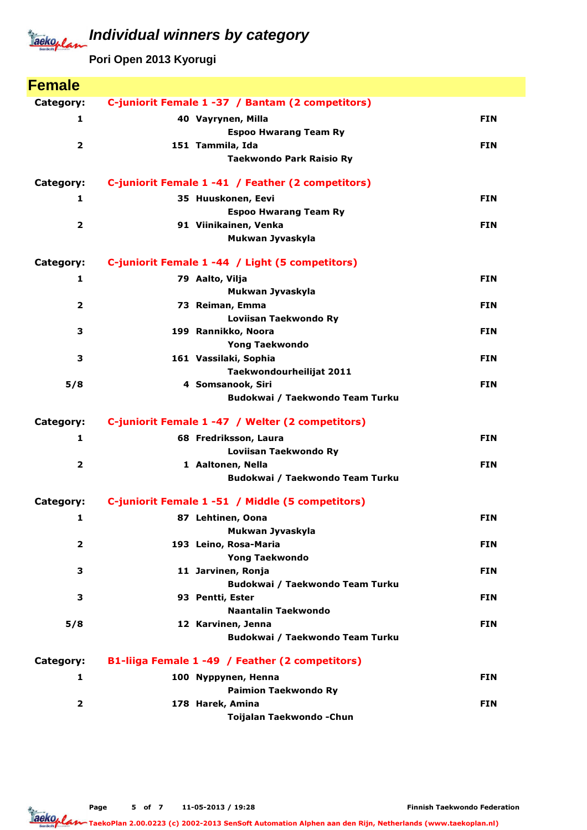**Pori Open 2013 Kyorugi**

| <b>Female</b>           |                                                   |            |
|-------------------------|---------------------------------------------------|------------|
| Category:               | C-juniorit Female 1-37 / Bantam (2 competitors)   |            |
| 1                       | 40 Vayrynen, Milla                                | <b>FIN</b> |
|                         | <b>Espoo Hwarang Team Ry</b>                      |            |
| $\overline{2}$          | 151 Tammila, Ida                                  | <b>FIN</b> |
|                         | <b>Taekwondo Park Raisio Ry</b>                   |            |
| Category:               | C-juniorit Female 1 -41 / Feather (2 competitors) |            |
| 1                       | 35 Huuskonen, Eevi                                | <b>FIN</b> |
|                         | <b>Espoo Hwarang Team Ry</b>                      |            |
| $\overline{\mathbf{2}}$ | 91 Viinikainen, Venka<br>Mukwan Jyvaskyla         | <b>FIN</b> |
| Category:               | C-juniorit Female 1 -44 / Light (5 competitors)   |            |
|                         |                                                   |            |
| 1                       | 79 Aalto, Vilja<br>Mukwan Jyvaskyla               | <b>FIN</b> |
| 2                       | 73 Reiman, Emma                                   | <b>FIN</b> |
|                         | Loviisan Taekwondo Ry                             |            |
| 3                       | 199 Rannikko, Noora                               | <b>FIN</b> |
|                         | <b>Yong Taekwondo</b>                             |            |
| 3                       | 161 Vassilaki, Sophia                             | <b>FIN</b> |
|                         | Taekwondourheilijat 2011                          |            |
| 5/8                     | 4 Somsanook, Siri                                 | <b>FIN</b> |
|                         | Budokwai / Taekwondo Team Turku                   |            |
| Category:               | C-juniorit Female 1 -47 / Welter (2 competitors)  |            |
| 1                       | 68 Fredriksson, Laura                             | <b>FIN</b> |
|                         | Loviisan Taekwondo Ry                             |            |
| $\overline{\mathbf{2}}$ | 1 Aaltonen, Nella                                 | <b>FIN</b> |
|                         | Budokwai / Taekwondo Team Turku                   |            |
| Category:               | C-juniorit Female 1 -51 / Middle (5 competitors)  |            |
| 1                       | 87 Lehtinen, Oona                                 | <b>FIN</b> |
|                         | Mukwan Jyvaskyla                                  |            |
| $\overline{\mathbf{2}}$ | 193 Leino, Rosa-Maria<br><b>Yong Taekwondo</b>    | <b>FIN</b> |
| з                       | 11 Jarvinen, Ronja                                | <b>FIN</b> |
|                         | Budokwai / Taekwondo Team Turku                   |            |
| 3                       | 93 Pentti, Ester                                  | <b>FIN</b> |
|                         | Naantalin Taekwondo                               |            |
| 5/8                     | 12 Karvinen, Jenna                                | <b>FIN</b> |
|                         | Budokwai / Taekwondo Team Turku                   |            |
| Category:               | B1-liiga Female 1 -49 / Feather (2 competitors)   |            |
| $\mathbf{1}$            | 100 Nyppynen, Henna                               | <b>FIN</b> |
|                         | <b>Paimion Taekwondo Ry</b>                       |            |
| $\overline{\mathbf{2}}$ | 178 Harek, Amina                                  | <b>FIN</b> |
|                         | Toijalan Taekwondo - Chun                         |            |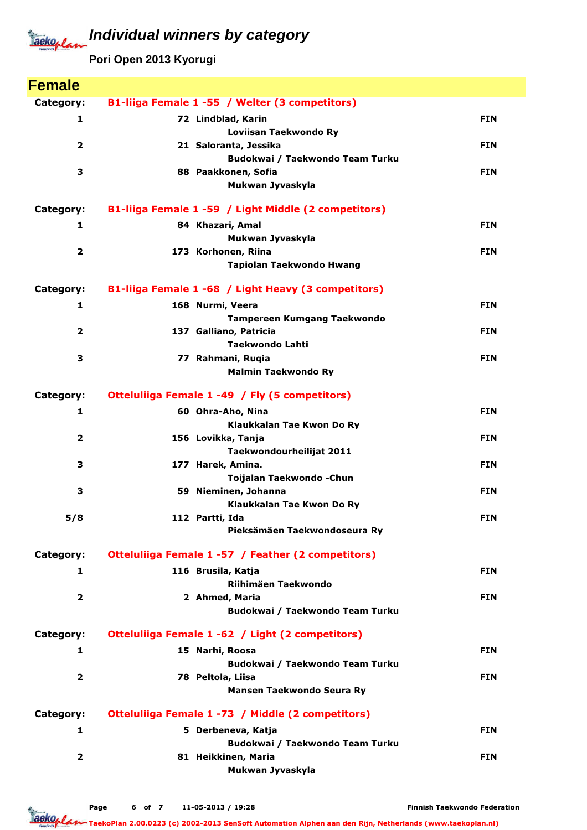**Pori Open 2013 Kyorugi**

| <b>Female</b>           |                                                      |            |
|-------------------------|------------------------------------------------------|------------|
| Category:               | B1-liiga Female 1 -55 / Welter (3 competitors)       |            |
| 1                       | 72 Lindblad, Karin                                   | <b>FIN</b> |
|                         | Loviisan Taekwondo Ry                                |            |
| $\overline{2}$          | 21 Saloranta, Jessika                                | <b>FIN</b> |
|                         | Budokwai / Taekwondo Team Turku                      |            |
| 3                       | 88 Paakkonen, Sofia<br>Mukwan Jyvaskyla              | <b>FIN</b> |
|                         |                                                      |            |
| Category:               | B1-liiga Female 1 -59 / Light Middle (2 competitors) |            |
| 1                       | 84 Khazari, Amal                                     | <b>FIN</b> |
|                         | Mukwan Jyvaskyla                                     |            |
| $\overline{2}$          | 173 Korhonen, Riina                                  | <b>FIN</b> |
|                         | Tapiolan Taekwondo Hwang                             |            |
| Category:               | B1-liiga Female 1 -68 / Light Heavy (3 competitors)  |            |
| 1                       | 168 Nurmi, Veera                                     | <b>FIN</b> |
|                         | Tampereen Kumgang Taekwondo                          |            |
| $\overline{\mathbf{2}}$ | 137 Galliano, Patricia<br><b>Taekwondo Lahti</b>     | <b>FIN</b> |
| 3                       | 77 Rahmani, Ruqia                                    | <b>FIN</b> |
|                         | <b>Malmin Taekwondo Ry</b>                           |            |
|                         |                                                      |            |
| Category:               | Otteluliiga Female 1 -49 / Fly (5 competitors)       |            |
| 1                       | 60 Ohra-Aho, Nina                                    | <b>FIN</b> |
| $\overline{2}$          | Klaukkalan Tae Kwon Do Ry<br>156 Lovikka, Tanja      | <b>FIN</b> |
|                         | Taekwondourheilijat 2011                             |            |
| 3                       | 177 Harek, Amina.                                    | <b>FIN</b> |
|                         | Toijalan Taekwondo - Chun                            |            |
| 3                       | 59 Nieminen, Johanna                                 | <b>FIN</b> |
|                         | Klaukkalan Tae Kwon Do Ry                            |            |
| 5/8                     | 112 Partti, Ida<br>Pieksämäen Taekwondoseura Ry      | <b>FIN</b> |
|                         |                                                      |            |
| Category:               | Otteluliiga Female 1 -57 / Feather (2 competitors)   |            |
| 1                       | 116 Brusila, Katja                                   | <b>FIN</b> |
| $\overline{2}$          | Riihimäen Taekwondo<br>2 Ahmed, Maria                | <b>FIN</b> |
|                         | Budokwai / Taekwondo Team Turku                      |            |
|                         |                                                      |            |
| Category:               | Otteluliiga Female 1 -62 / Light (2 competitors)     |            |
| 1                       | 15 Narhi, Roosa                                      | <b>FIN</b> |
| $\overline{2}$          | Budokwai / Taekwondo Team Turku<br>78 Peltola, Liisa | <b>FIN</b> |
|                         | Mansen Taekwondo Seura Ry                            |            |
|                         |                                                      |            |
| Category:               | Otteluliiga Female 1 -73 / Middle (2 competitors)    |            |
| 1                       | 5 Derbeneva, Katja                                   | <b>FIN</b> |
|                         | Budokwai / Taekwondo Team Turku                      |            |
| $\overline{\mathbf{2}}$ | 81 Heikkinen, Maria<br>Mukwan Jyvaskyla              | <b>FIN</b> |
|                         |                                                      |            |